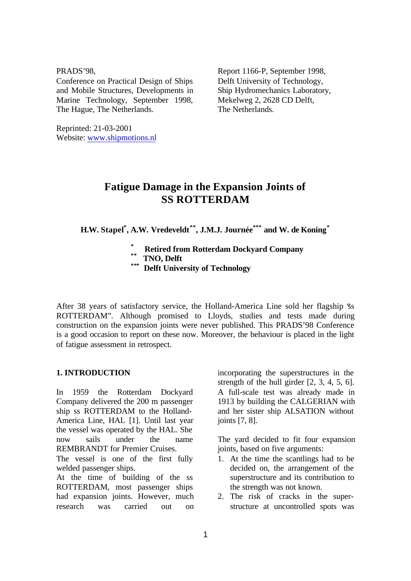#### PRADS'98,

Conference on Practical Design of Ships and Mobile Structures, Developments in Marine Technology, September 1998, The Hague, The Netherlands.

Reprinted: 21-03-2001 Website: www.shipmotions.nl Report 1166-P, September 1998, Delft University of Technology, Ship Hydromechanics Laboratory, Mekelweg 2, 2628 CD Delft, The Netherlands.

# **Fatigue Damage in the Expansion Joints of SS ROTTERDAM**

**H.W. Stapel\* , A.W. Vredeveldt\*\*, J.M.J. Journée\*\*\* and W. de Koning\***

- **\* Retired from Rotterdam Dockyard Company**
- **\*\* TNO, Delft**
- **\*\*\* Delft University of Technology**

After 38 years of satisfactory service, the Holland-America Line sold her flagship "ss ROTTERDAM". Although promised to Lloyds, studies and tests made during construction on the expansion joints were never published. This PRADS'98 Conference is a good occasion to report on these now. Moreover, the behaviour is placed in the light of fatigue assessment in retrospect.

# **1. INTRODUCTION**

In 1959 the Rotterdam Dockyard Company delivered the 200 m passenger ship ss ROTTERDAM to the Holland-America Line, HAL [1]. Until last year the vessel was operated by the HAL. She now sails under the name REMBRANDT for Premier Cruises.

The vessel is one of the first fully welded passenger ships.

At the time of building of the ss ROTTERDAM, most passenger ships had expansion joints. However, much research was carried out on

incorporating the superstructures in the strength of the hull girder [2, 3, 4, 5, 6]. A full-scale test was already made in 1913 by building the CALGERIAN with and her sister ship ALSATION without joints [7, 8].

The yard decided to fit four expansion joints, based on five arguments:

- 1. At the time the scantlings had to be decided on, the arrangement of the superstructure and its contribution to the strength was not known.
- 2. The risk of cracks in the superstructure at uncontrolled spots was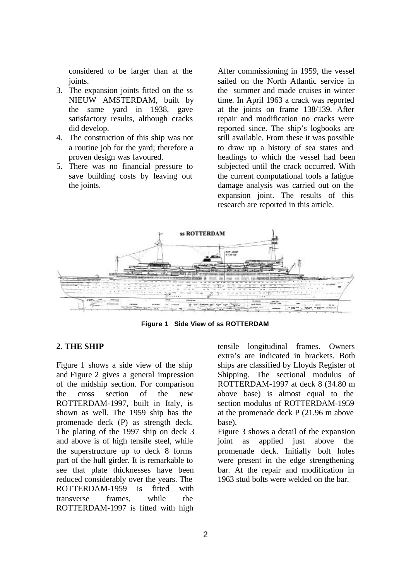considered to be larger than at the joints.

- 3. The expansion joints fitted on the ss NIEUW AMSTERDAM, built by the same yard in 1938, gave satisfactory results, although cracks did develop.
- 4. The construction of this ship was not a routine job for the yard; therefore a proven design was favoured.
- 5. There was no financial pressure to save building costs by leaving out the joints.

After commissioning in 1959, the vessel sailed on the North Atlantic service in the summer and made cruises in winter time. In April 1963 a crack was reported at the joints on frame 138/139. After repair and modification no cracks were reported since. The ship's logbooks are still available. From these it was possible to draw up a history of sea states and headings to which the vessel had been subjected until the crack occurred. With the current computational tools a fatigue damage analysis was carried out on the expansion joint. The results of this research are reported in this article.



**Figure 1 Side View of ss ROTTERDAM**

#### **2. THE SHIP**

Figure 1 shows a side view of the ship and Figure 2 gives a general impression of the midship section. For comparison the cross section of the new ROTTERDAM-1997, built in Italy, is shown as well. The 1959 ship has the promenade deck (P) as strength deck. The plating of the 1997 ship on deck 3 and above is of high tensile steel, while the superstructure up to deck 8 forms part of the hull girder. It is remarkable to see that plate thicknesses have been reduced considerably over the years. The ROTTERDAM-1959 is fitted with transverse frames, while the ROTTERDAM-1997 is fitted with high

tensile longitudinal frames. Owners extra's are indicated in brackets. Both ships are classified by Lloyds Register of Shipping. The sectional modulus of ROTTERDAM-1997 at deck 8 (34.80 m above base) is almost equal to the section modulus of ROTTERDAM-1959 at the promenade deck P (21.96 m above base).

Figure 3 shows a detail of the expansion joint as applied just above the promenade deck. Initially bolt holes were present in the edge strengthening bar. At the repair and modification in 1963 stud bolts were welded on the bar.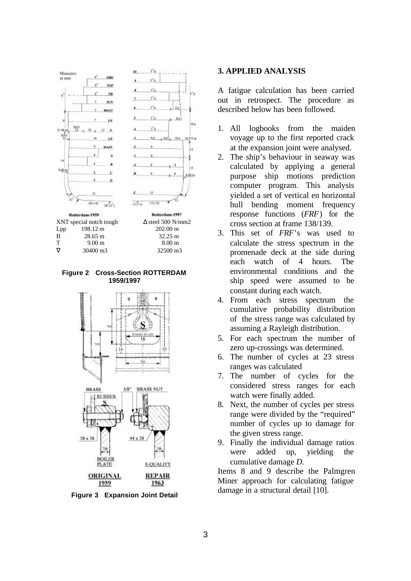



**Figure 2 Cross-Section ROTTERDAM 1959/1997**



**Figure 3 Expansion Joint Detail**

### **3. APPLIED ANALYSIS**

A fatigue calculation has been carried out in retrospect. The procedure as described below has been followed.

- 1. All logbooks from the maiden voyage up to the first reported crack at the expansion joint were analysed.
- 2. The ship's behaviour in seaway was calculated by applying a general purpose ship motions prediction computer program. This analysis yielded a set of vertical en horizontal hull bending moment frequency response functions (*FRF*) for the cross section at frame 138/139.
- 3. This set of *FRF*'s was used to calculate the stress spectrum in the promenade deck at the side during each watch of 4 hours. The environmental conditions and the ship speed were assumed to be constant during each watch.
- 4. From each stress spectrum the cumulative probability distribution of the stress range was calculated by assuming a Rayleigh distribution.
- 5. For each spectrum the number of zero up-crossings was determined.
- 6. The number of cycles at 23 stress ranges was calculated
- 7. The number of cycles for the considered stress ranges for each watch were finally added.
- 8. Next, the number of cycles per stress range were divided by the "required" number of cycles up to damage for the given stress range.
- 9. Finally the individual damage ratios were added up, yielding the cumulative damage *D*.

Items 8 and 9 describe the Palmgren Miner approach for calculating fatigue damage in a structural detail [10].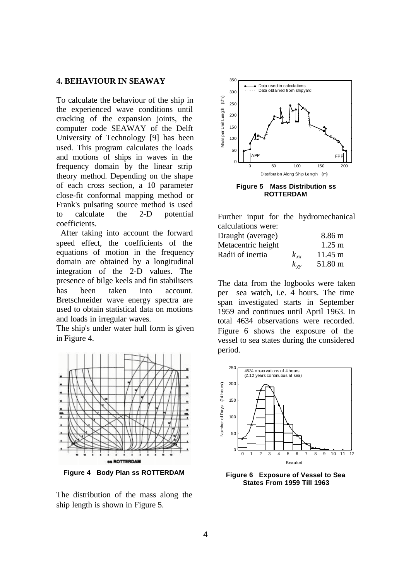#### **4. BEHAVIOUR IN SEAWAY**

To calculate the behaviour of the ship in the experienced wave conditions until cracking of the expansion joints, the computer code SEAWAY of the Delft University of Technology [9] has been used. This program calculates the loads and motions of ships in waves in the frequency domain by the linear strip theory method. Depending on the shape of each cross section, a 10 parameter close-fit conformal mapping method or Frank's pulsating source method is used to calculate the 2-D potential coefficients.

 After taking into account the forward speed effect, the coefficients of the equations of motion in the frequency domain are obtained by a longitudinal integration of the 2-D values. The presence of bilge keels and fin stabilisers has been taken into account. Bretschneider wave energy spectra are used to obtain statistical data on motions and loads in irregular waves.

The ship's under water hull form is given in Figure 4.



**Figure 4 Body Plan ss ROTTERDAM**

The distribution of the mass along the ship length is shown in Figure 5.



**ROTTERDAM**

Further input for the hydromechanical calculations were:

| Draught (average)  |          | 8.86 m            |
|--------------------|----------|-------------------|
| Metacentric height |          | $1.25 \text{ m}$  |
| Radii of inertia   | $k_{xx}$ | $11.45 \text{ m}$ |
|                    | $k_{vv}$ | 51.80 m           |

The data from the logbooks were taken per sea watch, i.e. 4 hours. The time span investigated starts in September 1959 and continues until April 1963. In total 4634 observations were recorded. Figure 6 shows the exposure of the vessel to sea states during the considered period.



**Figure 6 Exposure of Vessel to Sea States From 1959 Till 1963**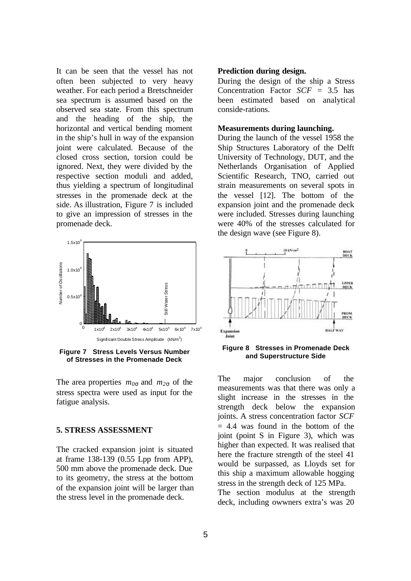It can be seen that the vessel has not often been subjected to very heavy weather. For each period a Bretschneider sea spectrum is assumed based on the observed sea state. From this spectrum and the heading of the ship, the horizontal and vertical bending moment in the ship's hull in way of the expansion joint were calculated. Because of the closed cross section, torsion could be ignored. Next, they were divided by the respective section moduli and added, thus yielding a spectrum of longitudinal stresses in the promenade deck at the side. As illustration, Figure 7 is included to give an impression of stresses in the promenade deck.



**Figure 7 Stress Levels Versus Number of Stresses in the Promenade Deck**

The area properties  $m_{0s}$  and  $m_{2s}$  of the stress spectra were used as input for the fatigue analysis.

#### **5. STRESS ASSESSMENT**

The cracked expansion joint is situated at frame 138-139 (0.55 Lpp from APP), 500 mm above the promenade deck. Due to its geometry, the stress at the bottom of the expansion joint will be larger than the stress level in the promenade deck.

#### **Prediction during design.**

During the design of the ship a Stress Concentration Factor *SCF* = 3.5 has been estimated based on analytical conside-rations.

#### **Measurements during launching.**

During the launch of the vessel 1958 the Ship Structures Laboratory of the Delft University of Technology, DUT, and the Netherlands Organisation of Applied Scientific Research, TNO, carried out strain measurements on several spots in the vessel [12]. The bottom of the expansion joint and the promenade deck were included. Stresses during launching were 40% of the stresses calculated for the design wave (see Figure 8).



**Figure 8 Stresses in Promenade Deck and Superstructure Side**

The major conclusion of the measurements was that there was only a slight increase in the stresses in the strength deck below the expansion joints. A stress concentration factor *SCF*  $= 4.4$  was found in the bottom of the joint (point S in Figure 3), which was higher than expected. It was realised that here the fracture strength of the steel 41 would be surpassed, as Lloyds set for this ship a maximum allowable hogging stress in the strength deck of 125 MPa. The section modulus at the strength deck, including owwners extra's was 20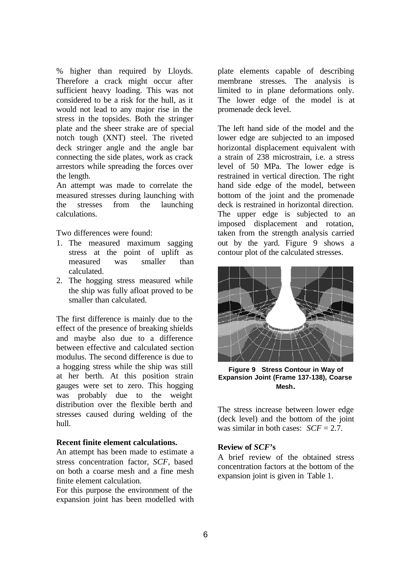% higher than required by Lloyds. Therefore a crack might occur after sufficient heavy loading. This was not considered to be a risk for the hull, as it would not lead to any major rise in the stress in the topsides. Both the stringer plate and the sheer strake are of special notch tough (XNT) steel. The riveted deck stringer angle and the angle bar connecting the side plates, work as crack arrestors while spreading the forces over the length.

An attempt was made to correlate the measured stresses during launching with the stresses from the launching calculations.

Two differences were found:

- 1. The measured maximum sagging stress at the point of uplift as measured was smaller than calculated.
- 2. The hogging stress measured while the ship was fully afloat proved to be smaller than calculated.

The first difference is mainly due to the effect of the presence of breaking shields and maybe also due to a difference between effective and calculated section modulus. The second difference is due to a hogging stress while the ship was still at her berth. At this position strain gauges were set to zero. This hogging was probably due to the weight distribution over the flexible berth and stresses caused during welding of the hull.

## **Recent finite element calculations.**

An attempt has been made to estimate a stress concentration factor, *SCF*, based on both a coarse mesh and a fine mesh finite element calculation.

For this purpose the environment of the expansion joint has been modelled with plate elements capable of describing membrane stresses. The analysis is limited to in plane deformations only. The lower edge of the model is at promenade deck level.

The left hand side of the model and the lower edge are subjected to an imposed horizontal displacement equivalent with a strain of 238 microstrain, i.e. a stress level of 50 MPa. The lower edge is restrained in vertical direction. The right hand side edge of the model, between bottom of the joint and the promenade deck is restrained in horizontal direction. The upper edge is subjected to an imposed displacement and rotation, taken from the strength analysis carried out by the yard. Figure 9 shows a contour plot of the calculated stresses.



**Figure 9 Stress Contour in Way of Expansion Joint (Frame 137-138), Coarse Mesh.**

The stress increase between lower edge (deck level) and the bottom of the joint was similar in both cases: *SCF* = 2.7.

### **Review of** *SCF***'s**

A brief review of the obtained stress concentration factors at the bottom of the expansion joint is given in Table 1.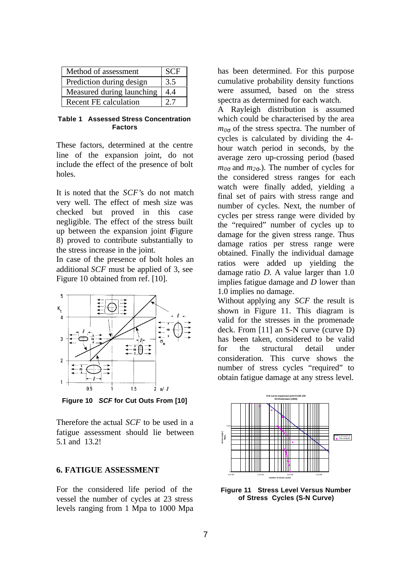| Method of assessment         | <b>SCF</b> |
|------------------------------|------------|
| Prediction during design     | 3.5        |
| Measured during launching    | 44         |
| <b>Recent FE calculation</b> |            |

#### **Table 1 Assessed Stress Concentration Factors**

These factors, determined at the centre line of the expansion joint, do not include the effect of the presence of bolt holes.

It is noted that the *SCF'*s do not match very well. The effect of mesh size was checked but proved in this case negligible. The effect of the stress built up between the expansion joint (Figure 8) proved to contribute substantially to the stress increase in the joint.

In case of the presence of bolt holes an additional *SCF* must be applied of 3, see Figure 10 obtained from ref. [10].



**Figure 10** *SCF* **for Cut Outs From [10]**

Therefore the actual *SCF* to be used in a fatigue assessment should lie between 5.1 and 13.2!

### **6. FATIGUE ASSESSMENT**

For the considered life period of the vessel the number of cycles at 23 stress levels ranging from 1 Mpa to 1000 Mpa has been determined. For this purpose cumulative probability density functions were assumed, based on the stress spectra as determined for each watch.

A Rayleigh distribution is assumed which could be characterised by the area *m0<sup>s</sup>* of the stress spectra. The number of cycles is calculated by dividing the 4 hour watch period in seconds, by the average zero up-crossing period (based  $m_{0s}$  and  $m_{2s}$ . The number of cycles for the considered stress ranges for each watch were finally added, yielding a final set of pairs with stress range and number of cycles. Next, the number of cycles per stress range were divided by the "required" number of cycles up to damage for the given stress range. Thus damage ratios per stress range were obtained. Finally the individual damage ratios were added up yielding the damage ratio *D*. A value larger than 1.0 implies fatigue damage and *D* lower than 1.0 implies no damage.

Without applying any *SCF* the result is shown in Figure 11. This diagram is valid for the stresses in the promenade deck. From [11] an S-N curve (curve D) has been taken, considered to be valid for the structural detail under consideration. This curve shows the number of stress cycles "required" to obtain fatigue damage at any stress level.



**Figure 11 Stress Level Versus Number of Stress Cycles (S-N Curve)**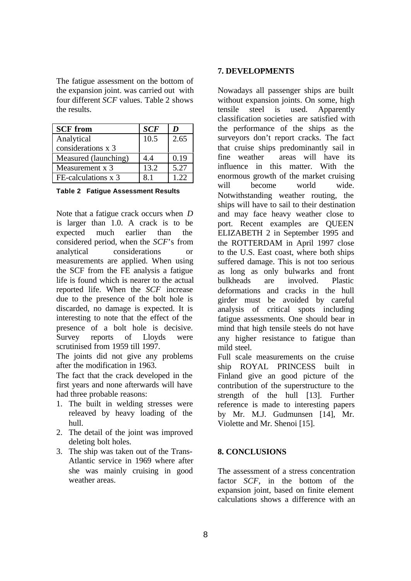The fatigue assessment on the bottom of the expansion joint. was carried out with four different *SCF* values. Table 2 shows the results.

| <b>SCF</b> from      | <b>SCF</b> | D    |
|----------------------|------------|------|
| Analytical           | 10.5       | 2.65 |
| considerations x 3   |            |      |
| Measured (launching) | 4.4        | 0.19 |
| Measurement x 3      | 13.2       | 5.27 |
| FE-calculations x 3  | 81         | 122  |

**Table 2 Fatigue Assessment Results**

Note that a fatigue crack occurs when *D* is larger than 1.0. A crack is to be expected much earlier than the considered period, when the *SCF*'s from analytical considerations or measurements are applied. When using the SCF from the FE analysis a fatigue life is found which is nearer to the actual reported life. When the *SCF* increase due to the presence of the bolt hole is discarded, no damage is expected. It is interesting to note that the effect of the presence of a bolt hole is decisive. Survey reports of Lloyds were scrutinised from 1959 till 1997.

The joints did not give any problems after the modification in 1963.

The fact that the crack developed in the first years and none afterwards will have had three probable reasons:

- 1. The built in welding stresses were releaved by heavy loading of the hull.
- 2. The detail of the joint was improved deleting bolt holes.
- 3. The ship was taken out of the Trans-Atlantic service in 1969 where after she was mainly cruising in good weather areas.

## **7. DEVELOPMENTS**

Nowadays all passenger ships are built without expansion joints. On some, high tensile steel is used. Apparently classification societies are satisfied with the performance of the ships as the surveyors don't report cracks. The fact that cruise ships predominantly sail in fine weather areas will have its influence in this matter. With the enormous growth of the market cruising will become world wide. Notwithstanding weather routing, the ships will have to sail to their destination and may face heavy weather close to port. Recent examples are QUEEN ELIZABETH 2 in September 1995 and the ROTTERDAM in April 1997 close to the U.S. East coast, where both ships suffered damage. This is not too serious as long as only bulwarks and front bulkheads are involved. Plastic deformations and cracks in the hull girder must be avoided by careful analysis of critical spots including fatigue assessments. One should bear in mind that high tensile steels do not have any higher resistance to fatigue than mild steel.

Full scale measurements on the cruise ship ROYAL PRINCESS built in Finland give an good picture of the contribution of the superstructure to the strength of the hull [13]. Further reference is made to interesting papers by Mr. M.J. Gudmunsen [14], Mr. Violette and Mr. Shenoi [15].

# **8. CONCLUSIONS**

The assessment of a stress concentration factor *SCF*, in the bottom of the expansion joint, based on finite element calculations shows a difference with an